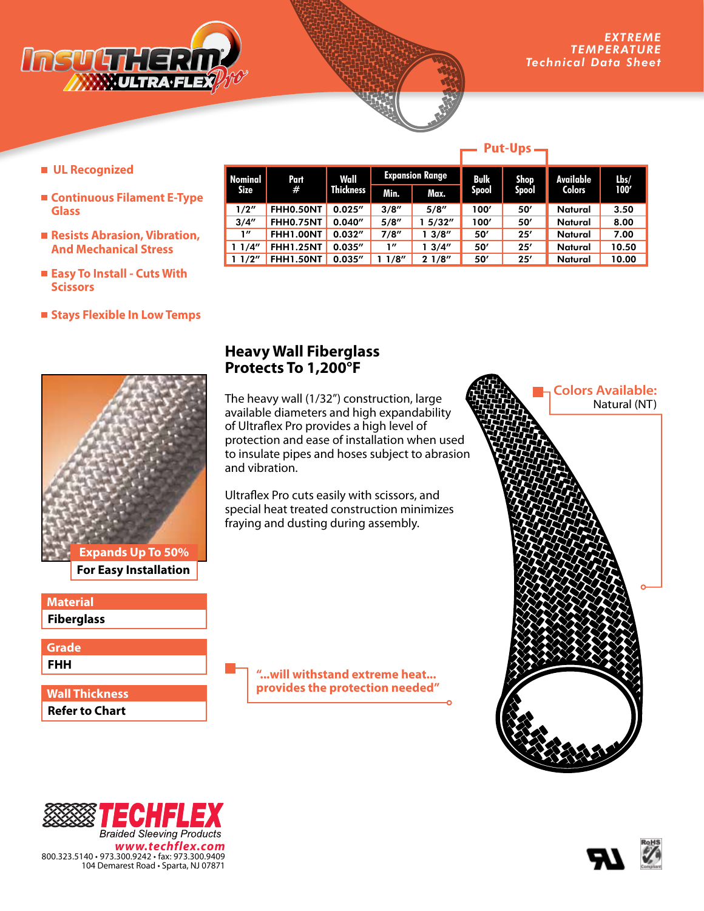

**Available Colors**

**Lbs/**

- **UL Recognized**
- **Continuous Filament E-Type Glass**
- Resists Abrasion, Vibration, **And Mechanical Stress**
- **Easy To Install Cuts With Scissors**
- **Stays Flexible In Low Temps**



**For Easy Installation**

**Fiberglass Material** 

**FHH Grade**

**Refer to Chart Wall Thickness**

## **Heavy Wall Fiberglass Protects To 1,200°F**

**Part #**

**Nominal Size**

The heavy wall (1/32") construction, large available diameters and high expandability of Ultraflex Pro provides a high level of protection and ease of installation when used to insulate pipes and hoses subject to abrasion and vibration.

**Wall Thickness**

Ultraflex Pro cuts easily with scissors, and special heat treated construction minimizes fraying and dusting during assembly.

> **"...will withstand extreme heat... provides the protection needed"**









### **Put-Ups**

**Min. Max. 100'**

**Shop Spool**

**Spool**

**Expansion Range Bulk** 

1/2" FHH0.50NT 0.025" 3/8" 5/8" 100' 50' Natural 3.50 3/4" FHH0.75NT 0.040" 5/8" 1 5/32" 100' 50' Natural 8.00 1" FHH1.00NT 0.032" 7/8" 1 3/8" 50' 25' Natural 7.00 1 1/4" FHH1.25NT 0.035" 1" 1 3/4" 50' 25' Natural 10.50 1 1/2" FHH1.50NT 0.035" 1 1/8" 2 1/8" 50' 25' Natural 10.00